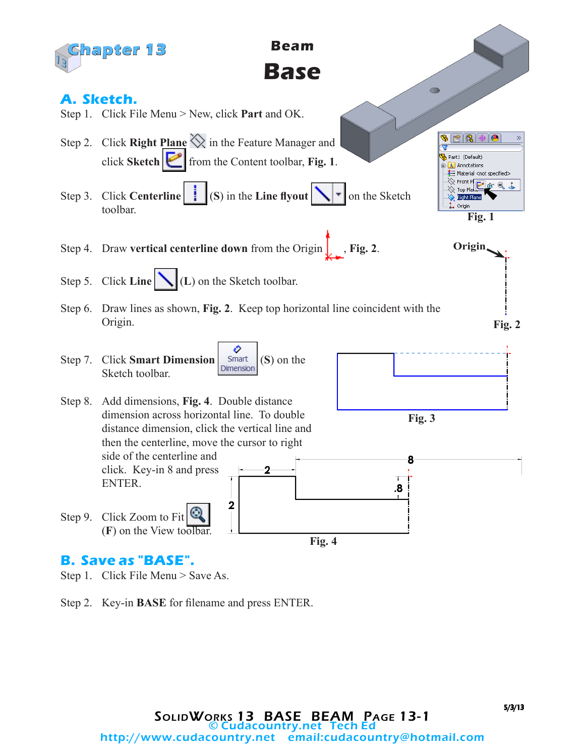

## **B. Save as "BASE".**

Step 1. Click File Menu > Save As.

Step 2. Key-in **BASE** for filename and press ENTER.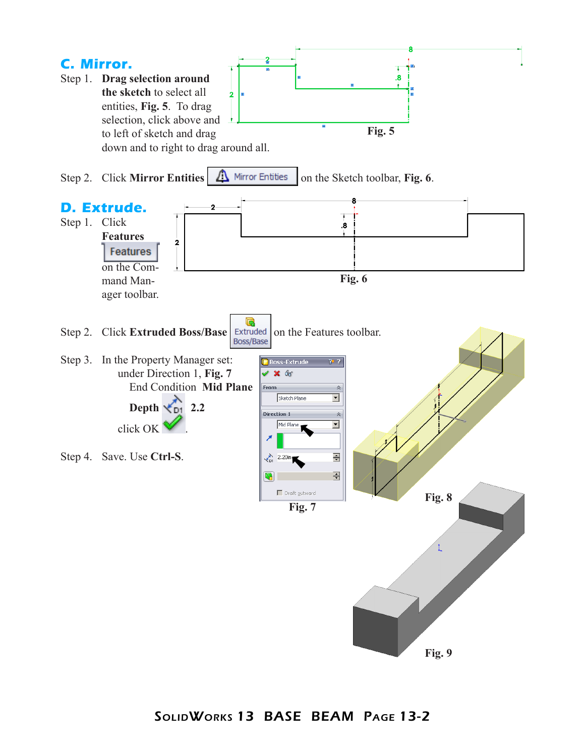

SolidWorks 13 BASE BEAM Page 13-2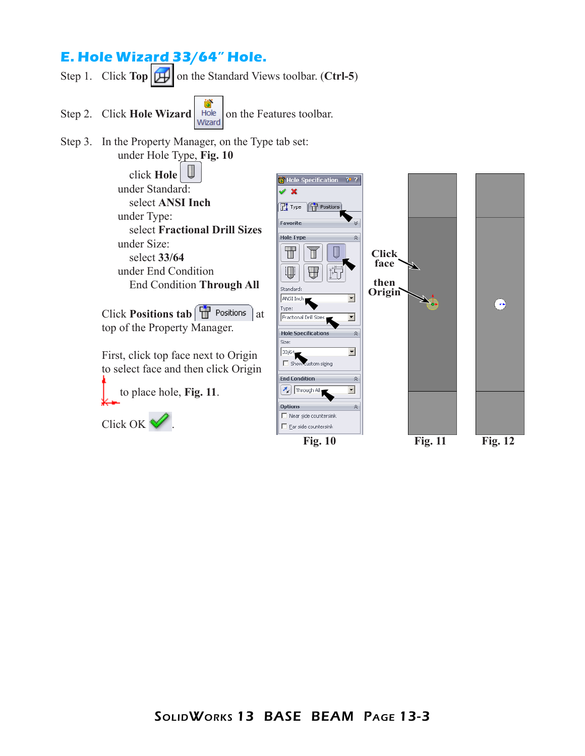## **E. Hole Wizard 33/64" Hole.**

Step 1. Click **Top o**n the Standard Views toolbar. (**Ctrl-5**)

- Step 2. Click **Hole Wizard Hole on** the Features toolbar.
- Step 3. In the Property Manager, on the Type tab set:

under Hole Type, **Fig. 10**